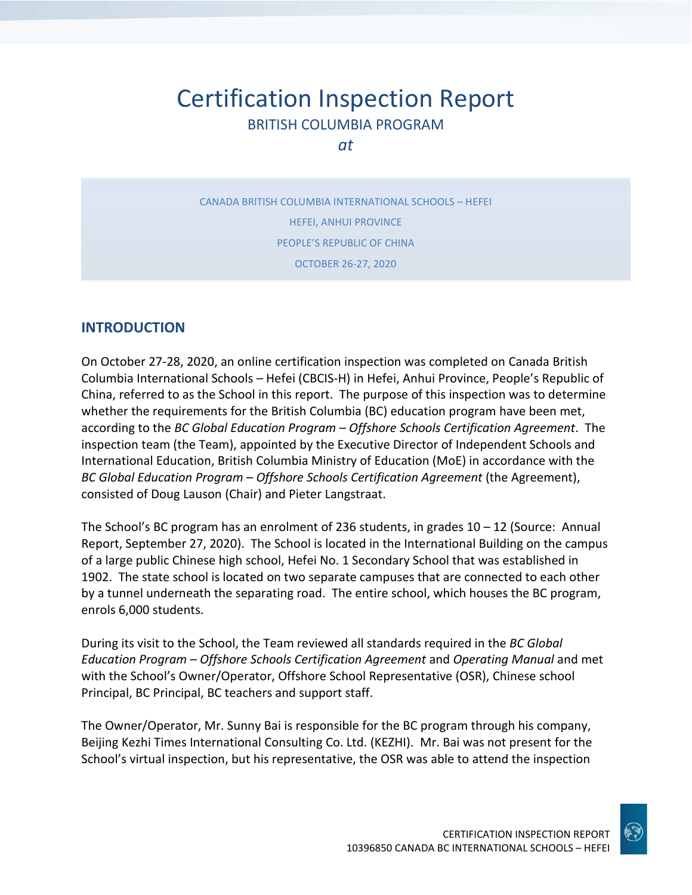# Certification Inspection Report BRITISH COLUMBIA PROGRAM

*at*

CANADA BRITISH COLUMBIA INTERNATIONAL SCHOOLS – HEFEI HEFEI, ANHUI PROVINCE PEOPLE'S REPUBLIC OF CHINA OCTOBER 26-27, 2020

## **INTRODUCTION**

On October 27-28, 2020, an online certification inspection was completed on Canada British Columbia International Schools – Hefei (CBCIS-H) in Hefei, Anhui Province, People's Republic of China, referred to as the School in this report. The purpose of this inspection was to determine whether the requirements for the British Columbia (BC) education program have been met, according to the *BC Global Education Program – Offshore Schools Certification Agreement*. The inspection team (the Team), appointed by the Executive Director of Independent Schools and International Education, British Columbia Ministry of Education (MoE) in accordance with the *BC Global Education Program – Offshore Schools Certification Agreement* (the Agreement), consisted of Doug Lauson (Chair) and Pieter Langstraat.

The School's BC program has an enrolment of 236 students, in grades 10 – 12 (Source: Annual Report, September 27, 2020). The School is located in the International Building on the campus of a large public Chinese high school, Hefei No. 1 Secondary School that was established in 1902. The state school is located on two separate campuses that are connected to each other by a tunnel underneath the separating road. The entire school, which houses the BC program, enrols 6,000 students.

During its visit to the School, the Team reviewed all standards required in the *BC Global Education Program – Offshore Schools Certification Agreement* and *Operating Manual* and met with the School's Owner/Operator, Offshore School Representative (OSR), Chinese school Principal, BC Principal, BC teachers and support staff.

The Owner/Operator, Mr. Sunny Bai is responsible for the BC program through his company, Beijing Kezhi Times International Consulting Co. Ltd. (KEZHI). Mr. Bai was not present for the School's virtual inspection, but his representative, the OSR was able to attend the inspection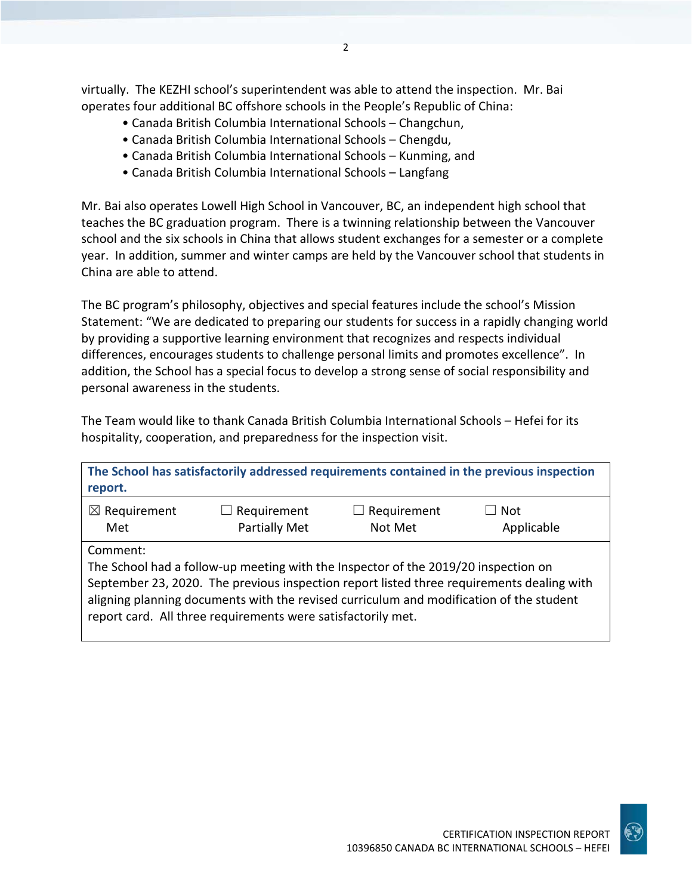virtually. The KEZHI school's superintendent was able to attend the inspection. Mr. Bai operates four additional BC offshore schools in the People's Republic of China:

 $\overline{\phantom{a}}$ 

- Canada British Columbia International Schools Changchun,
- Canada British Columbia International Schools Chengdu,
- Canada British Columbia International Schools Kunming, and
- Canada British Columbia International Schools Langfang

Mr. Bai also operates Lowell High School in Vancouver, BC, an independent high school that teaches the BC graduation program. There is a twinning relationship between the Vancouver school and the six schools in China that allows student exchanges for a semester or a complete year. In addition, summer and winter camps are held by the Vancouver school that students in China are able to attend.

The BC program's philosophy, objectives and special features include the school's Mission Statement: "We are dedicated to preparing our students for success in a rapidly changing world by providing a supportive learning environment that recognizes and respects individual differences, encourages students to challenge personal limits and promotes excellence". In addition, the School has a special focus to develop a strong sense of social responsibility and personal awareness in the students.

The Team would like to thank Canada British Columbia International Schools – Hefei for its hospitality, cooperation, and preparedness for the inspection visit.

| report.                        |                                                                                                                                                                                                                                               |                        | The School has satisfactorily addressed requirements contained in the previous inspection |
|--------------------------------|-----------------------------------------------------------------------------------------------------------------------------------------------------------------------------------------------------------------------------------------------|------------------------|-------------------------------------------------------------------------------------------|
| $\boxtimes$ Requirement<br>Met | $\Box$ Requirement<br><b>Partially Met</b>                                                                                                                                                                                                    | Requirement<br>Not Met | $\Box$ Not<br>Applicable                                                                  |
| Comment:                       | The School had a follow-up meeting with the Inspector of the 2019/20 inspection on<br>aligning planning documents with the revised curriculum and modification of the student<br>report card. All three requirements were satisfactorily met. |                        | September 23, 2020. The previous inspection report listed three requirements dealing with |

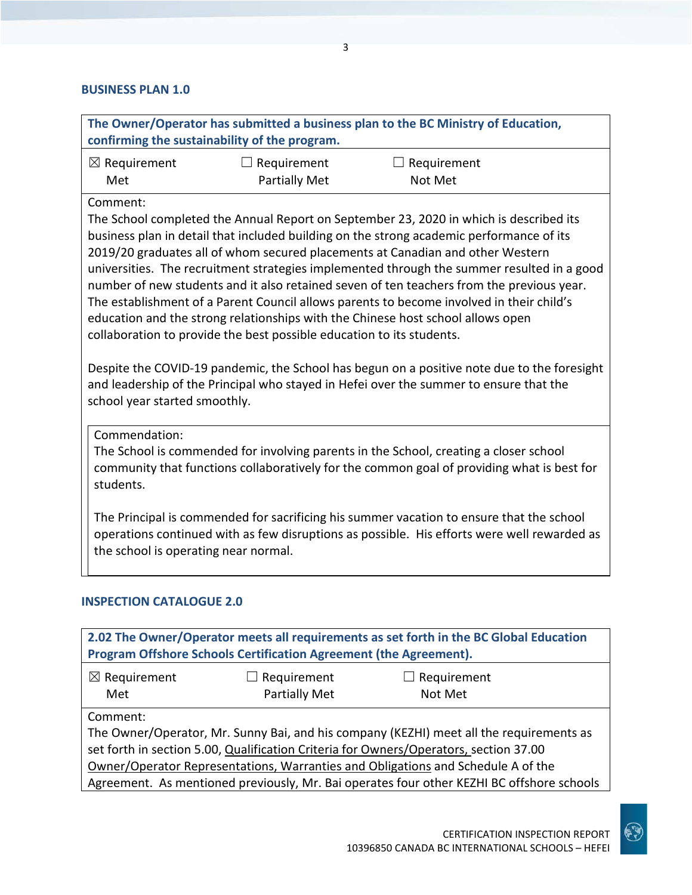#### **BUSINESS PLAN 1.0**

| The Owner/Operator has submitted a business plan to the BC Ministry of Education,<br>confirming the sustainability of the program.                                                                                                                                                                                                                                                                                                                                                                                                                                                                                                                                                                                                                                                                                                                                                                                                                            |                                            |                                                                                                                                                                                         |  |
|---------------------------------------------------------------------------------------------------------------------------------------------------------------------------------------------------------------------------------------------------------------------------------------------------------------------------------------------------------------------------------------------------------------------------------------------------------------------------------------------------------------------------------------------------------------------------------------------------------------------------------------------------------------------------------------------------------------------------------------------------------------------------------------------------------------------------------------------------------------------------------------------------------------------------------------------------------------|--------------------------------------------|-----------------------------------------------------------------------------------------------------------------------------------------------------------------------------------------|--|
| $\boxtimes$ Requirement<br>Met                                                                                                                                                                                                                                                                                                                                                                                                                                                                                                                                                                                                                                                                                                                                                                                                                                                                                                                                | $\Box$ Requirement<br><b>Partially Met</b> | $\Box$ Requirement<br>Not Met                                                                                                                                                           |  |
| Comment:<br>The School completed the Annual Report on September 23, 2020 in which is described its<br>business plan in detail that included building on the strong academic performance of its<br>2019/20 graduates all of whom secured placements at Canadian and other Western<br>universities. The recruitment strategies implemented through the summer resulted in a good<br>number of new students and it also retained seven of ten teachers from the previous year.<br>The establishment of a Parent Council allows parents to become involved in their child's<br>education and the strong relationships with the Chinese host school allows open<br>collaboration to provide the best possible education to its students.<br>Despite the COVID-19 pandemic, the School has begun on a positive note due to the foresight<br>and leadership of the Principal who stayed in Hefei over the summer to ensure that the<br>school year started smoothly. |                                            |                                                                                                                                                                                         |  |
| Commendation:<br>The School is commended for involving parents in the School, creating a closer school<br>community that functions collaboratively for the common goal of providing what is best for<br>students.                                                                                                                                                                                                                                                                                                                                                                                                                                                                                                                                                                                                                                                                                                                                             |                                            |                                                                                                                                                                                         |  |
| the school is operating near normal.                                                                                                                                                                                                                                                                                                                                                                                                                                                                                                                                                                                                                                                                                                                                                                                                                                                                                                                          |                                            | The Principal is commended for sacrificing his summer vacation to ensure that the school<br>operations continued with as few disruptions as possible. His efforts were well rewarded as |  |
| <b>INSPECTION CATALOGUE 2.0</b>                                                                                                                                                                                                                                                                                                                                                                                                                                                                                                                                                                                                                                                                                                                                                                                                                                                                                                                               |                                            |                                                                                                                                                                                         |  |

| 2.02 The Owner/Operator meets all requirements as set forth in the BC Global Education<br>Program Offshore Schools Certification Agreement (the Agreement). |                      |                    |  |
|-------------------------------------------------------------------------------------------------------------------------------------------------------------|----------------------|--------------------|--|
| $\boxtimes$ Requirement                                                                                                                                     | $\Box$ Requirement   | $\Box$ Requirement |  |
| Met                                                                                                                                                         | <b>Partially Met</b> | Not Met            |  |
| Comment:                                                                                                                                                    |                      |                    |  |
| The Owner/Operator, Mr. Sunny Bai, and his company (KEZHI) meet all the requirements as                                                                     |                      |                    |  |
| set forth in section 5.00, Qualification Criteria for Owners/Operators, section 37.00                                                                       |                      |                    |  |
| Owner/Operator Representations, Warranties and Obligations and Schedule A of the                                                                            |                      |                    |  |
| Agreement. As mentioned previously, Mr. Bai operates four other KEZHI BC offshore schools                                                                   |                      |                    |  |

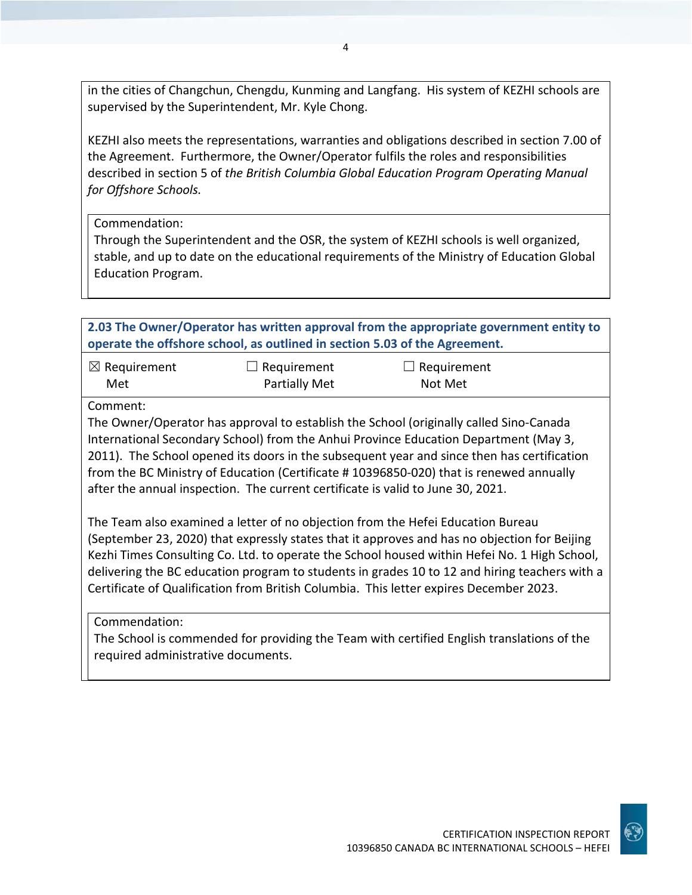in the cities of Changchun, Chengdu, Kunming and Langfang. His system of KEZHI schools are supervised by the Superintendent, Mr. Kyle Chong.

KEZHI also meets the representations, warranties and obligations described in section 7.00 of the Agreement. Furthermore, the Owner/Operator fulfils the roles and responsibilities described in section 5 of *the British Columbia Global Education Program Operating Manual for Offshore Schools.*

Commendation:

Through the Superintendent and the OSR, the system of KEZHI schools is well organized, stable, and up to date on the educational requirements of the Ministry of Education Global Education Program.

| 2.03 The Owner/Operator has written approval from the appropriate government entity to<br>operate the offshore school, as outlined in section 5.03 of the Agreement.                                                                                                                                                                                                                                                                                                       |                                                                                 |                                                                                                                                                                                                                                                                                                                                                                        |
|----------------------------------------------------------------------------------------------------------------------------------------------------------------------------------------------------------------------------------------------------------------------------------------------------------------------------------------------------------------------------------------------------------------------------------------------------------------------------|---------------------------------------------------------------------------------|------------------------------------------------------------------------------------------------------------------------------------------------------------------------------------------------------------------------------------------------------------------------------------------------------------------------------------------------------------------------|
| $\boxtimes$ Requirement<br>Met                                                                                                                                                                                                                                                                                                                                                                                                                                             | $\Box$ Requirement<br><b>Partially Met</b>                                      | $\Box$ Requirement<br>Not Met                                                                                                                                                                                                                                                                                                                                          |
| Comment:                                                                                                                                                                                                                                                                                                                                                                                                                                                                   | after the annual inspection. The current certificate is valid to June 30, 2021. | The Owner/Operator has approval to establish the School (originally called Sino-Canada<br>International Secondary School) from the Anhui Province Education Department (May 3,<br>2011). The School opened its doors in the subsequent year and since then has certification<br>from the BC Ministry of Education (Certificate #10396850-020) that is renewed annually |
| The Team also examined a letter of no objection from the Hefei Education Bureau<br>(September 23, 2020) that expressly states that it approves and has no objection for Beijing<br>Kezhi Times Consulting Co. Ltd. to operate the School housed within Hefei No. 1 High School,<br>delivering the BC education program to students in grades 10 to 12 and hiring teachers with a<br>Certificate of Qualification from British Columbia. This letter expires December 2023. |                                                                                 |                                                                                                                                                                                                                                                                                                                                                                        |
| Commendation:<br>required administrative documents.                                                                                                                                                                                                                                                                                                                                                                                                                        |                                                                                 | The School is commended for providing the Team with certified English translations of the                                                                                                                                                                                                                                                                              |

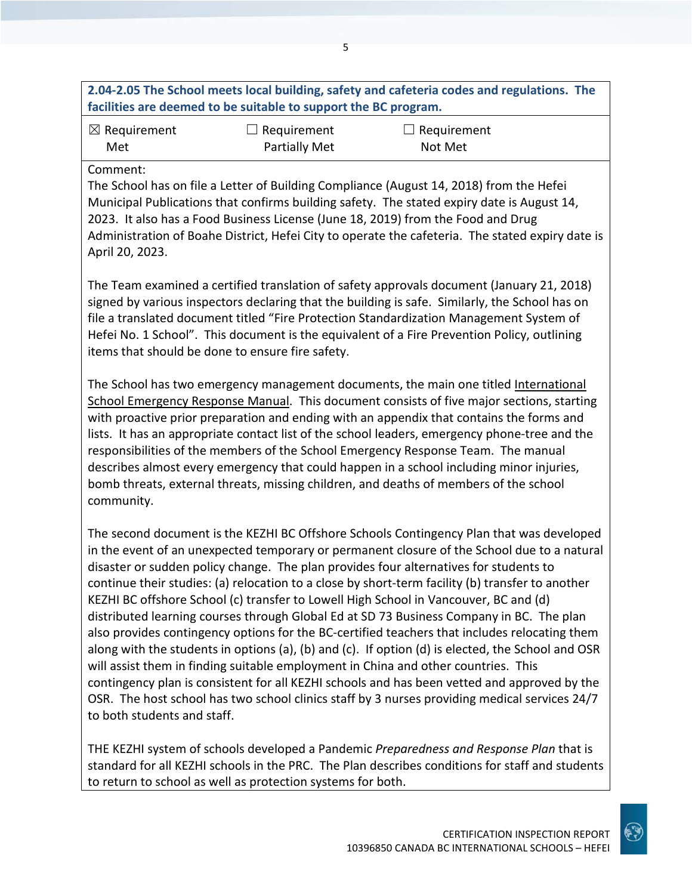## **2.04-2.05 The School meets local building, safety and cafeteria codes and regulations. The facilities are deemed to be suitable to support the BC program.** ☒ Requirement Met  $\Box$  Requirement Partially Met  $\Box$  Requirement Not Met Comment: The School has on file a Letter of Building Compliance (August 14, 2018) from the Hefei Municipal Publications that confirms building safety. The stated expiry date is August 14, 2023. It also has a Food Business License (June 18, 2019) from the Food and Drug Administration of Boahe District, Hefei City to operate the cafeteria. The stated expiry date is April 20, 2023. The Team examined a certified translation of safety approvals document (January 21, 2018) signed by various inspectors declaring that the building is safe. Similarly, the School has on file a translated document titled "Fire Protection Standardization Management System of Hefei No. 1 School". This document is the equivalent of a Fire Prevention Policy, outlining items that should be done to ensure fire safety. The School has two emergency management documents, the main one titled International School Emergency Response Manual. This document consists of five major sections, starting with proactive prior preparation and ending with an appendix that contains the forms and lists. It has an appropriate contact list of the school leaders, emergency phone-tree and the responsibilities of the members of the School Emergency Response Team. The manual describes almost every emergency that could happen in a school including minor injuries, bomb threats, external threats, missing children, and deaths of members of the school community. The second document is the KEZHI BC Offshore Schools Contingency Plan that was developed in the event of an unexpected temporary or permanent closure of the School due to a natural disaster or sudden policy change. The plan provides four alternatives for students to continue their studies: (a) relocation to a close by short-term facility (b) transfer to another KEZHI BC offshore School (c) transfer to Lowell High School in Vancouver, BC and (d) distributed learning courses through Global Ed at SD 73 Business Company in BC. The plan also provides contingency options for the BC-certified teachers that includes relocating them along with the students in options (a), (b) and (c). If option (d) is elected, the School and OSR will assist them in finding suitable employment in China and other countries. This contingency plan is consistent for all KEZHI schools and has been vetted and approved by the OSR. The host school has two school clinics staff by 3 nurses providing medical services 24/7 to both students and staff.

THE KEZHI system of schools developed a Pandemic *Preparedness and Response Plan* that is standard for all KEZHI schools in the PRC. The Plan describes conditions for staff and students to return to school as well as protection systems for both.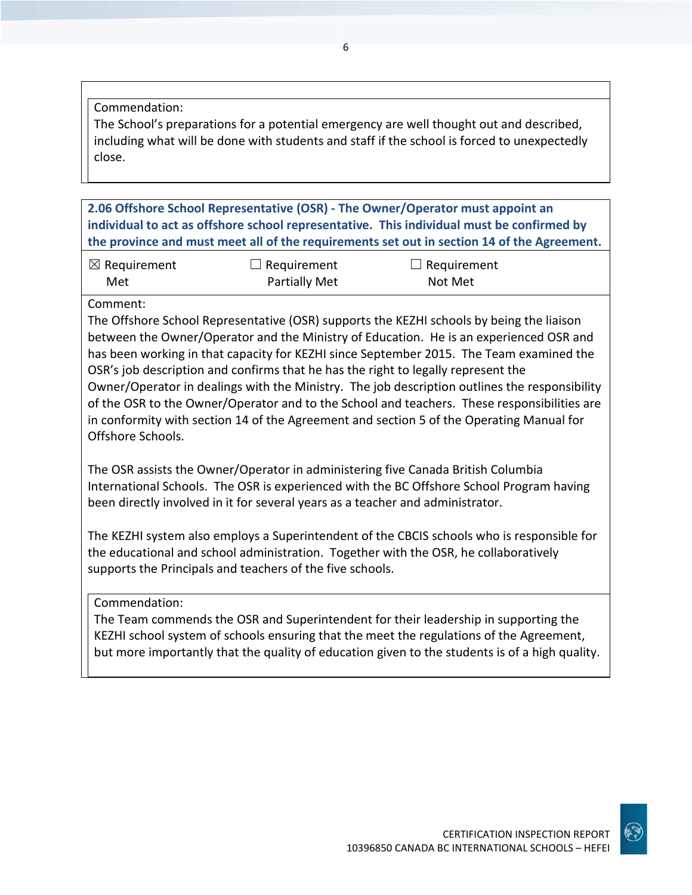#### Commendation:

The School's preparations for a potential emergency are well thought out and described, including what will be done with students and staff if the school is forced to unexpectedly close.

**2.06 Offshore School Representative (OSR) - The Owner/Operator must appoint an individual to act as offshore school representative. This individual must be confirmed by the province and must meet all of the requirements set out in section 14 of the Agreement.**

| $\boxtimes$ Requirement | $\Box$ Requirement | $\Box$ Requirement |  |
|-------------------------|--------------------|--------------------|--|
| Met                     | Partially Met      | Not Met            |  |

#### Comment:

The Offshore School Representative (OSR) supports the KEZHI schools by being the liaison between the Owner/Operator and the Ministry of Education. He is an experienced OSR and has been working in that capacity for KEZHI since September 2015. The Team examined the OSR's job description and confirms that he has the right to legally represent the Owner/Operator in dealings with the Ministry. The job description outlines the responsibility of the OSR to the Owner/Operator and to the School and teachers. These responsibilities are in conformity with section 14 of the Agreement and section 5 of the Operating Manual for Offshore Schools.

The OSR assists the Owner/Operator in administering five Canada British Columbia International Schools. The OSR is experienced with the BC Offshore School Program having been directly involved in it for several years as a teacher and administrator.

The KEZHI system also employs a Superintendent of the CBCIS schools who is responsible for the educational and school administration. Together with the OSR, he collaboratively supports the Principals and teachers of the five schools.

Commendation:

The Team commends the OSR and Superintendent for their leadership in supporting the KEZHI school system of schools ensuring that the meet the regulations of the Agreement, but more importantly that the quality of education given to the students is of a high quality.

CERTIFICATION INSPECTION REPORT

10396850 CANADA BC INTERNATIONAL SCHOOLS – HEFEI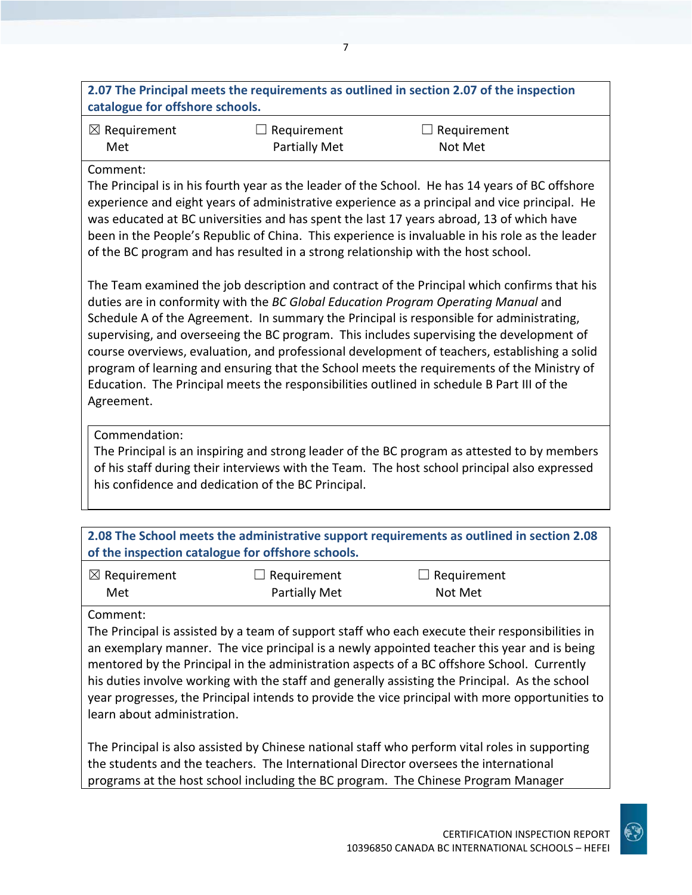| 2.07 The Principal meets the requirements as outlined in section 2.07 of the inspection |  |
|-----------------------------------------------------------------------------------------|--|
| catalogue for offshore schools.                                                         |  |

7

| $\boxtimes$ Requirement | $\Box$ Requirement   | $\Box$ Requirement |
|-------------------------|----------------------|--------------------|
| Met                     | <b>Partially Met</b> | Not Met            |

#### Comment:

The Principal is in his fourth year as the leader of the School. He has 14 years of BC offshore experience and eight years of administrative experience as a principal and vice principal. He was educated at BC universities and has spent the last 17 years abroad, 13 of which have been in the People's Republic of China. This experience is invaluable in his role as the leader of the BC program and has resulted in a strong relationship with the host school.

The Team examined the job description and contract of the Principal which confirms that his duties are in conformity with the *BC Global Education Program Operating Manual* and Schedule A of the Agreement. In summary the Principal is responsible for administrating, supervising, and overseeing the BC program. This includes supervising the development of course overviews, evaluation, and professional development of teachers, establishing a solid program of learning and ensuring that the School meets the requirements of the Ministry of Education. The Principal meets the responsibilities outlined in schedule B Part III of the Agreement.

#### Commendation:

The Principal is an inspiring and strong leader of the BC program as attested to by members of his staff during their interviews with the Team. The host school principal also expressed his confidence and dedication of the BC Principal.

| 2.08 The School meets the administrative support requirements as outlined in section 2.08<br>of the inspection catalogue for offshore schools. |                      |                    |  |
|------------------------------------------------------------------------------------------------------------------------------------------------|----------------------|--------------------|--|
| $\mid$ $\boxtimes$ Requirement                                                                                                                 | $\Box$ Requirement   | $\Box$ Requirement |  |
| Met                                                                                                                                            | <b>Partially Met</b> | Not Met            |  |

#### Comment:

The Principal is assisted by a team of support staff who each execute their responsibilities in an exemplary manner. The vice principal is a newly appointed teacher this year and is being mentored by the Principal in the administration aspects of a BC offshore School. Currently his duties involve working with the staff and generally assisting the Principal. As the school year progresses, the Principal intends to provide the vice principal with more opportunities to learn about administration.

The Principal is also assisted by Chinese national staff who perform vital roles in supporting the students and the teachers. The International Director oversees the international programs at the host school including the BC program. The Chinese Program Manager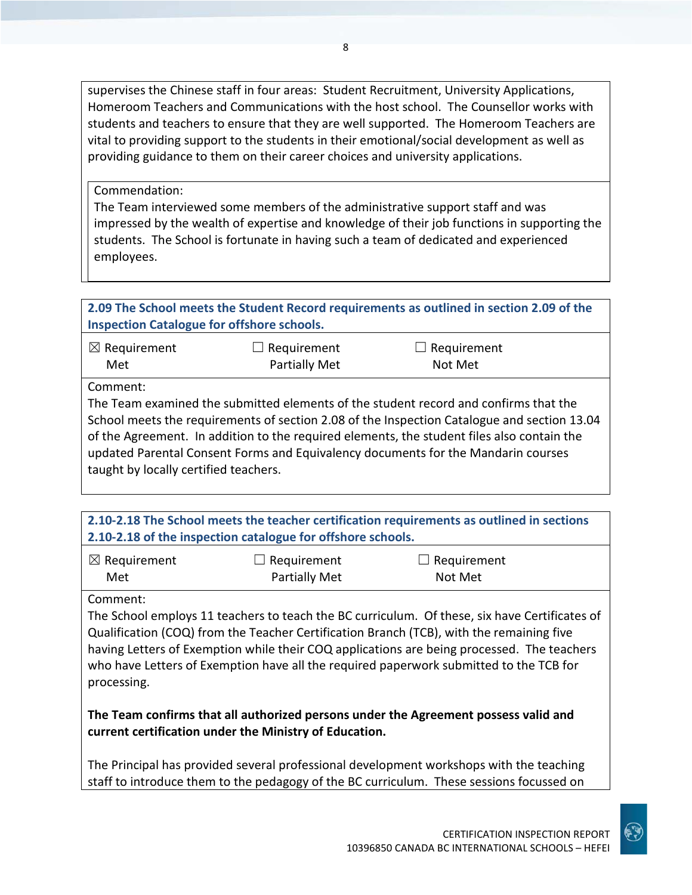supervises the Chinese staff in four areas: Student Recruitment, University Applications, Homeroom Teachers and Communications with the host school. The Counsellor works with students and teachers to ensure that they are well supported. The Homeroom Teachers are vital to providing support to the students in their emotional/social development as well as providing guidance to them on their career choices and university applications.

Commendation:

The Team interviewed some members of the administrative support staff and was impressed by the wealth of expertise and knowledge of their job functions in supporting the students. The School is fortunate in having such a team of dedicated and experienced employees.

| 2.09 The School meets the Student Record requirements as outlined in section 2.09 of the |  |
|------------------------------------------------------------------------------------------|--|
| <b>Inspection Catalogue for offshore schools.</b>                                        |  |
|                                                                                          |  |

| $\boxtimes$ Requirement | $\Box$ Requirement   | $\Box$ Requirement |
|-------------------------|----------------------|--------------------|
| Met                     | <b>Partially Met</b> | Not Met            |

Comment:

The Team examined the submitted elements of the student record and confirms that the School meets the requirements of section 2.08 of the Inspection Catalogue and section 13.04 of the Agreement. In addition to the required elements, the student files also contain the updated Parental Consent Forms and Equivalency documents for the Mandarin courses taught by locally certified teachers.

**2.10-2.18 The School meets the teacher certification requirements as outlined in sections 2.10-2.18 of the inspection catalogue for offshore schools.**

| $\boxtimes$ Requirement | $\Box$ Requirement | $\Box$ Requirement |
|-------------------------|--------------------|--------------------|
| Met                     | Partially Met      | Not Met            |

Comment:

The School employs 11 teachers to teach the BC curriculum. Of these, six have Certificates of Qualification (COQ) from the Teacher Certification Branch (TCB), with the remaining five having Letters of Exemption while their COQ applications are being processed. The teachers who have Letters of Exemption have all the required paperwork submitted to the TCB for processing.

**The Team confirms that all authorized persons under the Agreement possess valid and current certification under the Ministry of Education.**

The Principal has provided several professional development workshops with the teaching staff to introduce them to the pedagogy of the BC curriculum. These sessions focussed on

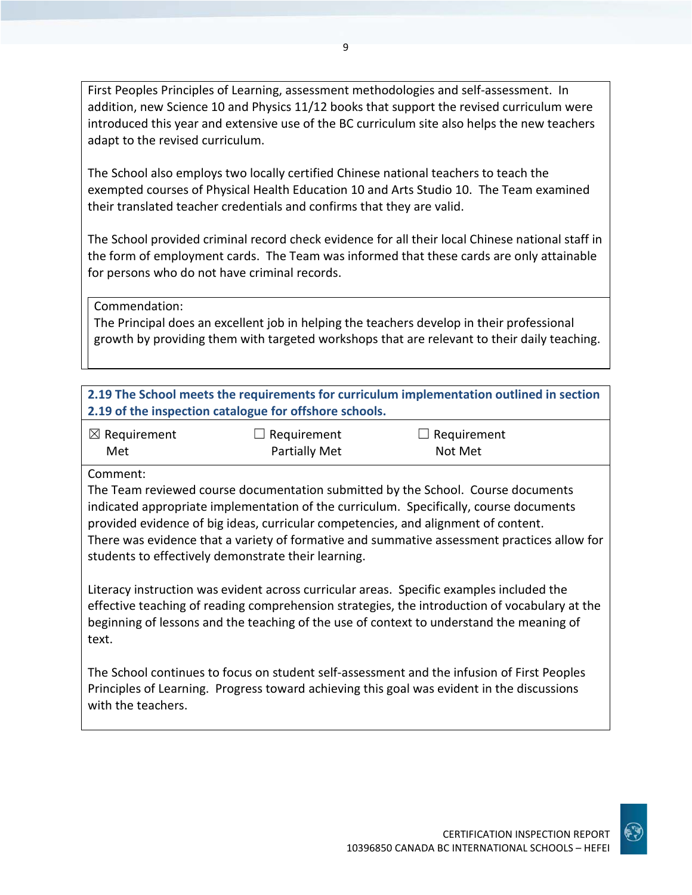First Peoples Principles of Learning, assessment methodologies and self-assessment. In addition, new Science 10 and Physics 11/12 books that support the revised curriculum were introduced this year and extensive use of the BC curriculum site also helps the new teachers adapt to the revised curriculum.

The School also employs two locally certified Chinese national teachers to teach the exempted courses of Physical Health Education 10 and Arts Studio 10. The Team examined their translated teacher credentials and confirms that they are valid.

The School provided criminal record check evidence for all their local Chinese national staff in the form of employment cards. The Team was informed that these cards are only attainable for persons who do not have criminal records.

Commendation:

The Principal does an excellent job in helping the teachers develop in their professional growth by providing them with targeted workshops that are relevant to their daily teaching.

**2.19 The School meets the requirements for curriculum implementation outlined in section 2.19 of the inspection catalogue for offshore schools.**

| $\boxtimes$ Requirement | $\Box$ Requirement   | $\Box$ Requirement |
|-------------------------|----------------------|--------------------|
| Met                     | <b>Partially Met</b> | Not Met            |

Comment:

The Team reviewed course documentation submitted by the School. Course documents indicated appropriate implementation of the curriculum. Specifically, course documents provided evidence of big ideas, curricular competencies, and alignment of content. There was evidence that a variety of formative and summative assessment practices allow for students to effectively demonstrate their learning.

Literacy instruction was evident across curricular areas. Specific examples included the effective teaching of reading comprehension strategies, the introduction of vocabulary at the beginning of lessons and the teaching of the use of context to understand the meaning of text.

The School continues to focus on student self-assessment and the infusion of First Peoples Principles of Learning. Progress toward achieving this goal was evident in the discussions with the teachers.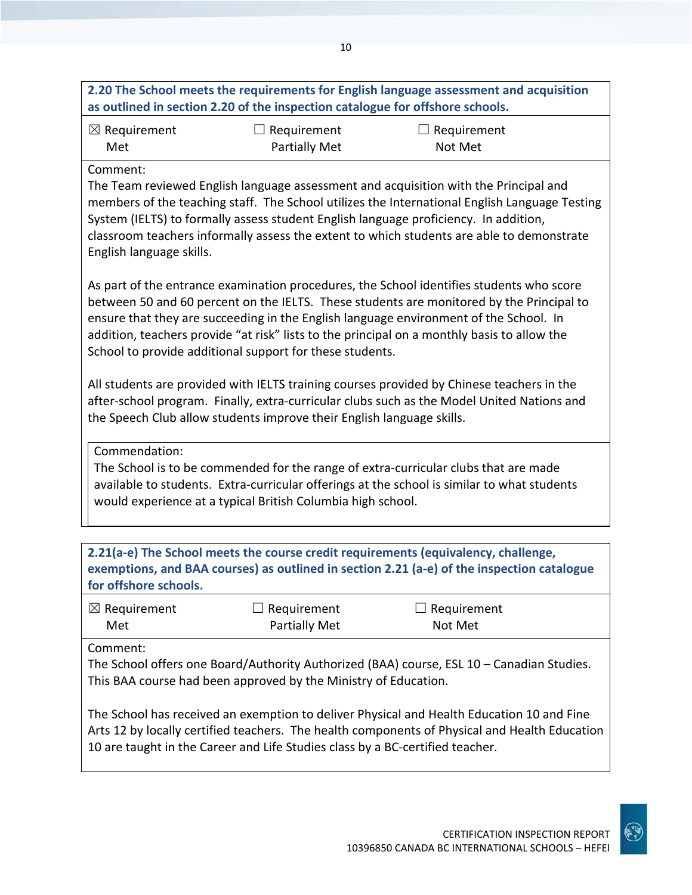|                                      | as outlined in section 2.20 of the inspection catalogue for offshore schools. | 2.20 The School meets the requirements for English language assessment and acquisition                                                                                                                                                                                                                                                                                       |
|--------------------------------------|-------------------------------------------------------------------------------|------------------------------------------------------------------------------------------------------------------------------------------------------------------------------------------------------------------------------------------------------------------------------------------------------------------------------------------------------------------------------|
| $\boxtimes$ Requirement<br>Met       | Requirement<br><b>Partially Met</b>                                           | Requirement<br>Not Met                                                                                                                                                                                                                                                                                                                                                       |
| Comment:<br>English language skills. |                                                                               | The Team reviewed English language assessment and acquisition with the Principal and<br>members of the teaching staff. The School utilizes the International English Language Testing<br>System (IELTS) to formally assess student English language proficiency. In addition,<br>classroom teachers informally assess the extent to which students are able to demonstrate   |
|                                      | School to provide additional support for these students.                      | As part of the entrance examination procedures, the School identifies students who score<br>between 50 and 60 percent on the IELTS. These students are monitored by the Principal to<br>ensure that they are succeeding in the English language environment of the School. In<br>addition, teachers provide "at risk" lists to the principal on a monthly basis to allow the |
|                                      | the Speech Club allow students improve their English language skills.         | All students are provided with IELTS training courses provided by Chinese teachers in the<br>after-school program. Finally, extra-curricular clubs such as the Model United Nations and                                                                                                                                                                                      |
| Commendation:                        | would experience at a typical British Columbia high school.                   | The School is to be commended for the range of extra-curricular clubs that are made<br>available to students. Extra-curricular offerings at the school is similar to what students                                                                                                                                                                                           |
| for offshore schools.                |                                                                               | 2.21(a-e) The School meets the course credit requirements (equivalency, challenge,<br>exemptions, and BAA courses) as outlined in section 2.21 (a-e) of the inspection catalogue                                                                                                                                                                                             |
| $\boxtimes$ Requirement<br>Met       | $\Box$ Requirement<br><b>Partially Met</b>                                    | Requirement<br>Not Met                                                                                                                                                                                                                                                                                                                                                       |
| Comment:                             | This BAA course had been approved by the Ministry of Education.               | The School offers one Board/Authority Authorized (BAA) course, ESL 10 - Canadian Studies.                                                                                                                                                                                                                                                                                    |
|                                      | 10 are taught in the Career and Life Studies class by a BC-certified teacher. | The School has received an exemption to deliver Physical and Health Education 10 and Fine<br>Arts 12 by locally certified teachers. The health components of Physical and Health Education                                                                                                                                                                                   |

10

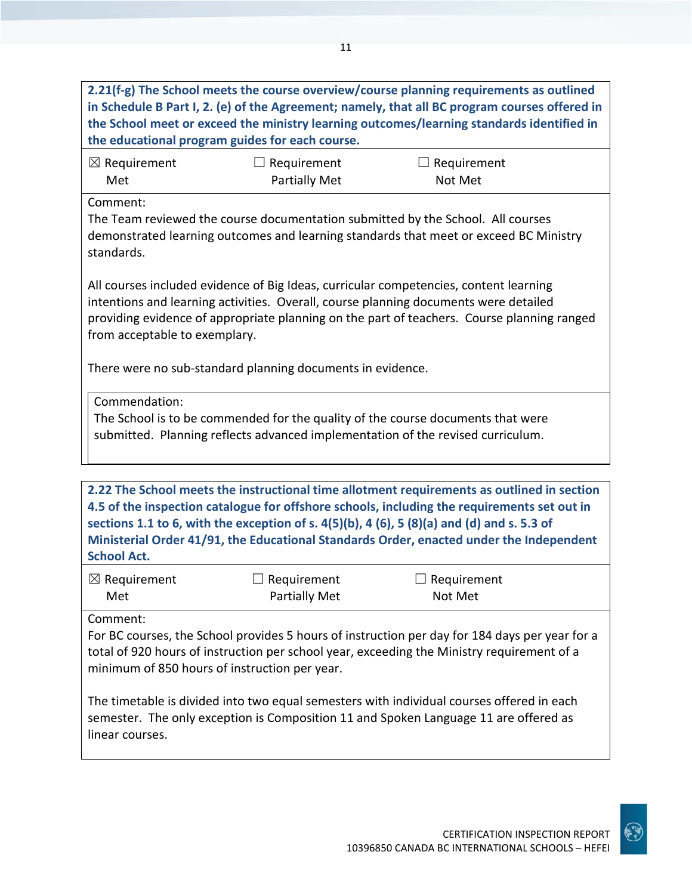| 2.21(f-g) The School meets the course overview/course planning requirements as outlined<br>in Schedule B Part I, 2. (e) of the Agreement; namely, that all BC program courses offered in<br>the School meet or exceed the ministry learning outcomes/learning standards identified in<br>the educational program guides for each course.                                                                 |                                                                                                                                                                          |                               |  |  |
|----------------------------------------------------------------------------------------------------------------------------------------------------------------------------------------------------------------------------------------------------------------------------------------------------------------------------------------------------------------------------------------------------------|--------------------------------------------------------------------------------------------------------------------------------------------------------------------------|-------------------------------|--|--|
| $\boxtimes$ Requirement<br>Met                                                                                                                                                                                                                                                                                                                                                                           | $\Box$ Requirement<br><b>Partially Met</b>                                                                                                                               | Requirement<br>Not Met        |  |  |
| Comment:<br>standards.                                                                                                                                                                                                                                                                                                                                                                                   | The Team reviewed the course documentation submitted by the School. All courses<br>demonstrated learning outcomes and learning standards that meet or exceed BC Ministry |                               |  |  |
| All courses included evidence of Big Ideas, curricular competencies, content learning<br>intentions and learning activities. Overall, course planning documents were detailed<br>providing evidence of appropriate planning on the part of teachers. Course planning ranged<br>from acceptable to exemplary.                                                                                             |                                                                                                                                                                          |                               |  |  |
| There were no sub-standard planning documents in evidence.                                                                                                                                                                                                                                                                                                                                               |                                                                                                                                                                          |                               |  |  |
| Commendation:<br>The School is to be commended for the quality of the course documents that were<br>submitted. Planning reflects advanced implementation of the revised curriculum.                                                                                                                                                                                                                      |                                                                                                                                                                          |                               |  |  |
|                                                                                                                                                                                                                                                                                                                                                                                                          |                                                                                                                                                                          |                               |  |  |
| 2.22 The School meets the instructional time allotment requirements as outlined in section<br>4.5 of the inspection catalogue for offshore schools, including the requirements set out in<br>sections 1.1 to 6, with the exception of s. 4(5)(b), 4 (6), 5 (8)(a) and (d) and s. 5.3 of<br>Ministerial Order 41/91, the Educational Standards Order, enacted under the Independent<br><b>School Act.</b> |                                                                                                                                                                          |                               |  |  |
| $\boxtimes$ Requirement<br>Met                                                                                                                                                                                                                                                                                                                                                                           | $\Box$ Requirement<br><b>Partially Met</b>                                                                                                                               | $\Box$ Requirement<br>Not Met |  |  |
| Comment:<br>For BC courses, the School provides 5 hours of instruction per day for 184 days per year for a<br>total of 920 hours of instruction per school year, exceeding the Ministry requirement of a<br>minimum of 850 hours of instruction per year.                                                                                                                                                |                                                                                                                                                                          |                               |  |  |
| The timetable is divided into two equal semesters with individual courses offered in each<br>semester. The only exception is Composition 11 and Spoken Language 11 are offered as<br>linear courses.                                                                                                                                                                                                     |                                                                                                                                                                          |                               |  |  |
|                                                                                                                                                                                                                                                                                                                                                                                                          |                                                                                                                                                                          |                               |  |  |

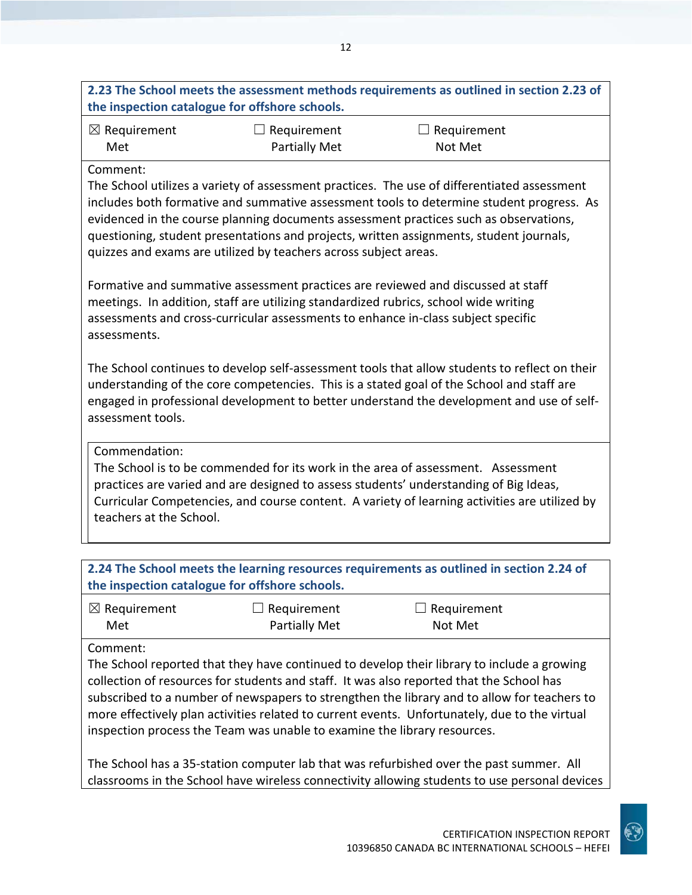| the inspection catalogue for offshore schools.                                                                                                                                                                                                                                                                                                                                                                                                              |                                            | 2.23 The School meets the assessment methods requirements as outlined in section 2.23 of |  |
|-------------------------------------------------------------------------------------------------------------------------------------------------------------------------------------------------------------------------------------------------------------------------------------------------------------------------------------------------------------------------------------------------------------------------------------------------------------|--------------------------------------------|------------------------------------------------------------------------------------------|--|
| $\boxtimes$ Requirement<br>Met                                                                                                                                                                                                                                                                                                                                                                                                                              | $\Box$ Requirement<br><b>Partially Met</b> | $\Box$ Requirement<br>Not Met                                                            |  |
| Comment:<br>The School utilizes a variety of assessment practices. The use of differentiated assessment<br>includes both formative and summative assessment tools to determine student progress. As<br>evidenced in the course planning documents assessment practices such as observations,<br>questioning, student presentations and projects, written assignments, student journals,<br>quizzes and exams are utilized by teachers across subject areas. |                                            |                                                                                          |  |
| Formative and summative assessment practices are reviewed and discussed at staff<br>meetings. In addition, staff are utilizing standardized rubrics, school wide writing<br>assessments and cross-curricular assessments to enhance in-class subject specific<br>assessments.                                                                                                                                                                               |                                            |                                                                                          |  |
| The School continues to develop self-assessment tools that allow students to reflect on their<br>understanding of the core competencies. This is a stated goal of the School and staff are<br>engaged in professional development to better understand the development and use of self-<br>assessment tools.                                                                                                                                                |                                            |                                                                                          |  |
| Commendation:<br>The School is to be commended for its work in the area of assessment. Assessment<br>practices are varied and are designed to assess students' understanding of Big Ideas,<br>Curricular Competencies, and course content. A variety of learning activities are utilized by<br>teachers at the School.                                                                                                                                      |                                            |                                                                                          |  |
|                                                                                                                                                                                                                                                                                                                                                                                                                                                             |                                            |                                                                                          |  |
| the inspection catalogue for offshore schools.                                                                                                                                                                                                                                                                                                                                                                                                              |                                            | 2.24 The School meets the learning resources requirements as outlined in section 2.24 of |  |
| $\boxtimes$ Requirement                                                                                                                                                                                                                                                                                                                                                                                                                                     | Requirement                                | Requirement                                                                              |  |

☒ Requirement Met ☐ Requirement Partially Met ☐ Requirement Not Met

Comment:

The School reported that they have continued to develop their library to include a growing collection of resources for students and staff. It was also reported that the School has subscribed to a number of newspapers to strengthen the library and to allow for teachers to more effectively plan activities related to current events. Unfortunately, due to the virtual inspection process the Team was unable to examine the library resources.

The School has a 35-station computer lab that was refurbished over the past summer. All classrooms in the School have wireless connectivity allowing students to use personal devices

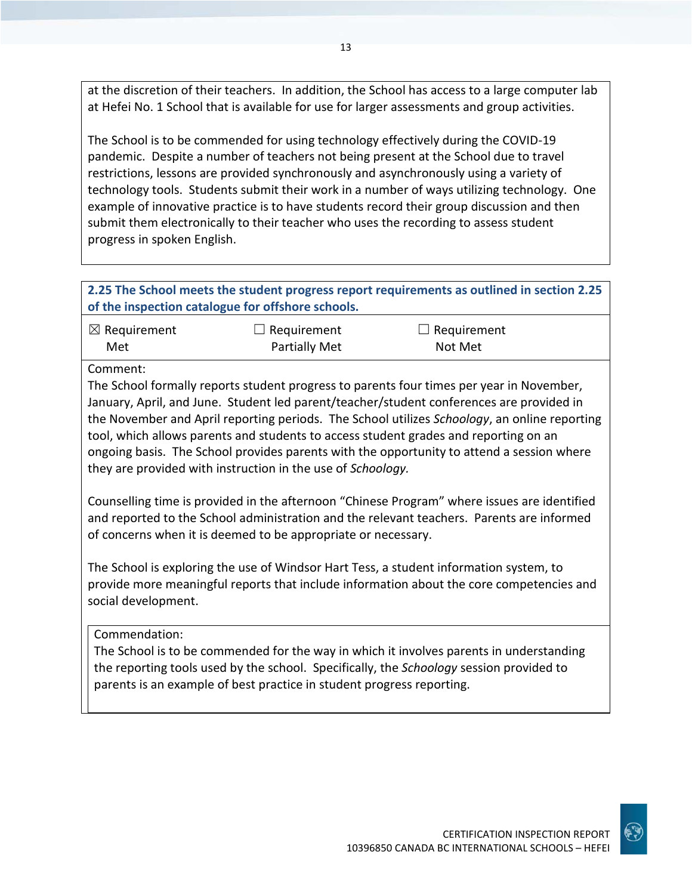at the discretion of their teachers. In addition, the School has access to a large computer lab at Hefei No. 1 School that is available for use for larger assessments and group activities.

The School is to be commended for using technology effectively during the COVID-19 pandemic. Despite a number of teachers not being present at the School due to travel restrictions, lessons are provided synchronously and asynchronously using a variety of technology tools. Students submit their work in a number of ways utilizing technology. One example of innovative practice is to have students record their group discussion and then submit them electronically to their teacher who uses the recording to assess student progress in spoken English.

#### **2.25 The School meets the student progress report requirements as outlined in section 2.25 of the inspection catalogue for offshore schools.**

| $\boxtimes$ Requirement | $\Box$ Requirement   | $\Box$ Requirement |
|-------------------------|----------------------|--------------------|
| Met                     | <b>Partially Met</b> | Not Met            |

Comment:

The School formally reports student progress to parents four times per year in November, January, April, and June. Student led parent/teacher/student conferences are provided in the November and April reporting periods. The School utilizes *Schoology*, an online reporting tool, which allows parents and students to access student grades and reporting on an ongoing basis. The School provides parents with the opportunity to attend a session where they are provided with instruction in the use of *Schoology.*

Counselling time is provided in the afternoon "Chinese Program" where issues are identified and reported to the School administration and the relevant teachers. Parents are informed of concerns when it is deemed to be appropriate or necessary.

The School is exploring the use of Windsor Hart Tess, a student information system, to provide more meaningful reports that include information about the core competencies and social development.

Commendation:

The School is to be commended for the way in which it involves parents in understanding the reporting tools used by the school. Specifically, the *Schoology* session provided to parents is an example of best practice in student progress reporting.

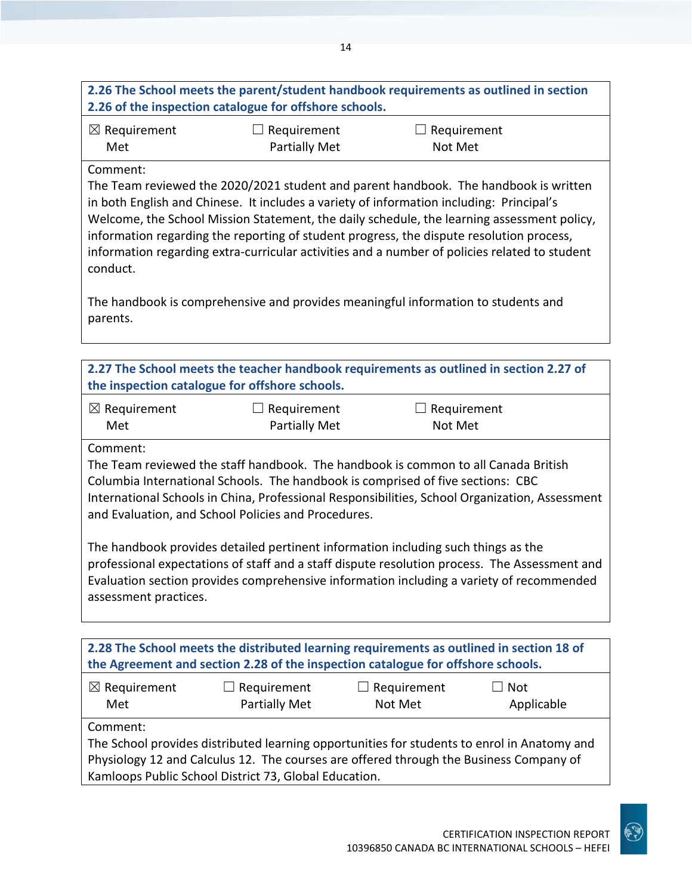## **2.26 The School meets the parent/student handbook requirements as outlined in section 2.26 of the inspection catalogue for offshore schools.**

| $\boxtimes$ Requirement | $\Box$ Requirement   | $\Box$ Requirement |
|-------------------------|----------------------|--------------------|
| Met                     | <b>Partially Met</b> | Not Met            |

#### Comment:

The Team reviewed the 2020/2021 student and parent handbook. The handbook is written in both English and Chinese. It includes a variety of information including: Principal's Welcome, the School Mission Statement, the daily schedule, the learning assessment policy, information regarding the reporting of student progress, the dispute resolution process, information regarding extra-curricular activities and a number of policies related to student conduct.

The handbook is comprehensive and provides meaningful information to students and parents.

| 2.27 The School meets the teacher handbook requirements as outlined in section 2.27 of<br>the inspection catalogue for offshore schools.                                                                                                                                                                                                   |                              |                                                                                   |  |
|--------------------------------------------------------------------------------------------------------------------------------------------------------------------------------------------------------------------------------------------------------------------------------------------------------------------------------------------|------------------------------|-----------------------------------------------------------------------------------|--|
| $\boxtimes$ Requirement<br>Met                                                                                                                                                                                                                                                                                                             | Requirement<br>Partially Met | $\Box$ Requirement<br>Not Met                                                     |  |
| Comment:<br>The Team reviewed the staff handbook. The handbook is common to all Canada British<br>Columbia International Schools. The handbook is comprised of five sections: CBC<br>International Schools in China, Professional Responsibilities, School Organization, Assessment<br>and Evaluation, and School Policies and Procedures. |                              |                                                                                   |  |
|                                                                                                                                                                                                                                                                                                                                            |                              | The handbook provides detailed pertinent information including such things as the |  |

professional expectations of staff and a staff dispute resolution process. The Assessment and Evaluation section provides comprehensive information including a variety of recommended assessment practices.

| 2.28 The School meets the distributed learning requirements as outlined in section 18 of    |                                                                                                  |  |  |  |  |
|---------------------------------------------------------------------------------------------|--------------------------------------------------------------------------------------------------|--|--|--|--|
| the Agreement and section 2.28 of the inspection catalogue for offshore schools.            |                                                                                                  |  |  |  |  |
| $\boxtimes$ Requirement<br>Met                                                              | $\Box$ Requirement<br>$\Box$ Requirement<br>$\Box$ Not<br>Partially Met<br>Not Met<br>Applicable |  |  |  |  |
| Comment:                                                                                    |                                                                                                  |  |  |  |  |
| The School provides distributed learning opportunities for students to enrol in Anatomy and |                                                                                                  |  |  |  |  |
| Physiology 12 and Calculus 12. The courses are offered through the Business Company of      |                                                                                                  |  |  |  |  |
| Kamloops Public School District 73, Global Education.                                       |                                                                                                  |  |  |  |  |

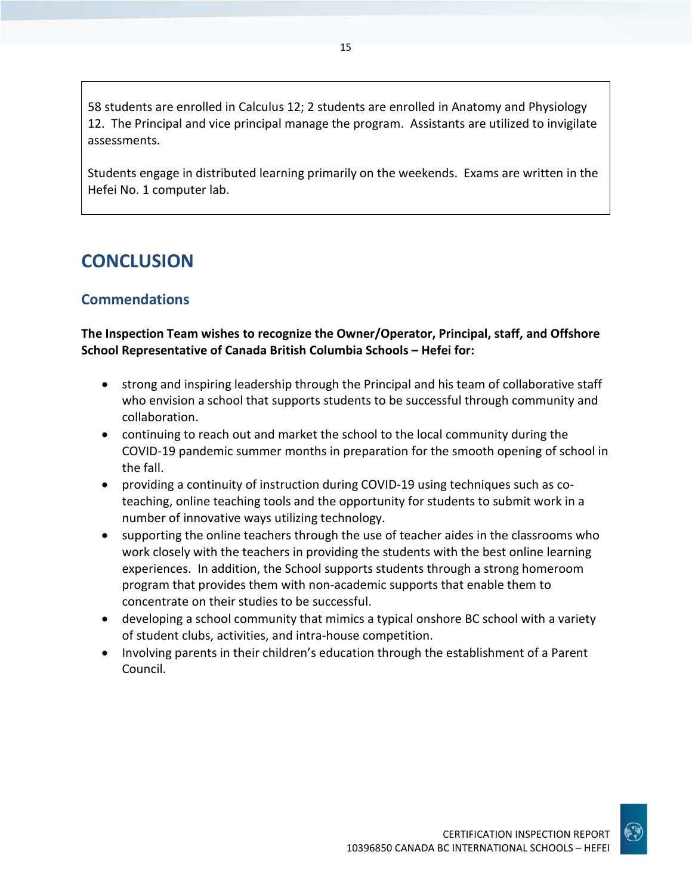58 students are enrolled in Calculus 12; 2 students are enrolled in Anatomy and Physiology 12. The Principal and vice principal manage the program. Assistants are utilized to invigilate assessments.

Students engage in distributed learning primarily on the weekends. Exams are written in the Hefei No. 1 computer lab.

## **CONCLUSION**

## **Commendations**

### **The Inspection Team wishes to recognize the Owner/Operator, Principal, staff, and Offshore School Representative of Canada British Columbia Schools – Hefei for:**

- strong and inspiring leadership through the Principal and his team of collaborative staff who envision a school that supports students to be successful through community and collaboration.
- continuing to reach out and market the school to the local community during the COVID-19 pandemic summer months in preparation for the smooth opening of school in the fall.
- providing a continuity of instruction during COVID-19 using techniques such as coteaching, online teaching tools and the opportunity for students to submit work in a number of innovative ways utilizing technology.
- supporting the online teachers through the use of teacher aides in the classrooms who work closely with the teachers in providing the students with the best online learning experiences. In addition, the School supports students through a strong homeroom program that provides them with non-academic supports that enable them to concentrate on their studies to be successful.
- developing a school community that mimics a typical onshore BC school with a variety of student clubs, activities, and intra-house competition.
- Involving parents in their children's education through the establishment of a Parent Council.

10396850 CANADA BC INTERNATIONAL SCHOOLS – HEFEI